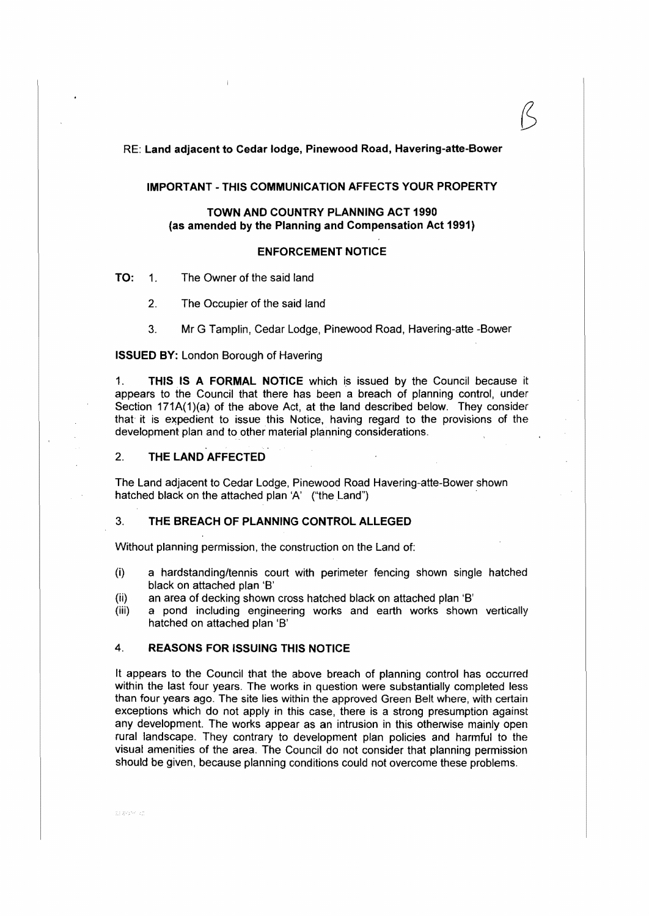RE: Land adjacent to Cedar lodge, Pinewood Road, Havering-atte-Bower

#### **IMPORTANT-THIS COMMUNICATION AFFECTS YOUR PROPERTY**

#### **TOWN AND COUNTRY PLANNING ACT 1990 (as amended by the Planning and Compensation Act 1991)**

#### **ENFORCEMENT NOTICE**

**TO:** 1. The Owner of the said land

2. The Occupier of the said land

3. Mr G Tamplin, Cedar Lodge, Pinewood Road, Havering-atte -Bower

#### **ISSUED BY:** London Borough of Havering

1. **THIS IS A FORMAL NOTICE** which is issued by the Council because it appears to the Council that there has been a breach of planning control, under Section  $171A(1)(a)$  of the above Act, at the land described below. They consider that it is expedient to issue this Notice, having regard to the provisions of the development plan and to other material planning considerations.

#### 2. **THE LAND AFFECTED**

The Land adjacent to Cedar Lodge, Pinewood Road Havering-atte-Bower shown hatched black on the attached plan 'A' ("the Land")

#### 3. **THE BREACH OF PLANNING CONTROL ALLEGED**

Without planning permission, the construction on the Land of:

- (i) a hardstanding/tennis court with perimeter fencing shown single hatched black on attached plan 'B'
- (ii) an area of decking shown cross hatched black on attached plan 'B'
- (iii) a pond including engineering works and earth works shown vertically hatched on attached plan 'B'

#### 4. **REASONS FOR ISSUING THIS NOTICE**

It appears to the Council that the above breach of planning control has occurred within the last four years. The works in question were substantially completed less than four years ago. The site lies within the approved Green Belt where, with certain exceptions which do not apply in this case, there is a strong presumption against any development. The works appear as an intrusion in this otherwise mainly open rural landscape. They contrary to development plan policies and harmful to the visual amenities of the area. The Council do not consider that planning permission should be given, because planning conditions could not overcome these problems.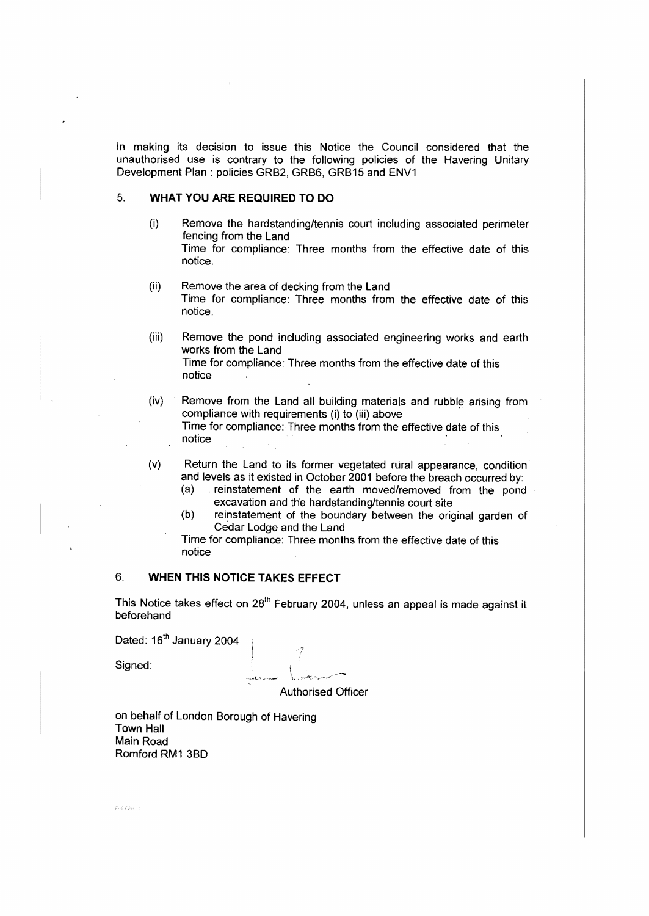In making its decision to issue this Notice the Council considered that the unauthorised use is contrary to the following policies of the Havering Unitary Development Plan: policies GRB2, GRB6, GRB15 and ENV1

### 5. **WHAT YOU ARE REQUIRED TO DO**

- (i) Remove the hardstanding/tennis court including associated perimeter fencing from the Land Time for compliance: Three months from the effective date of this notice.
- (ii) Remove the area of decking from the Land Time for compliance: Three months from the effective date of this notice.
- (iii) Remove the pond including associated engineering works and earth works from the Land Time for compliance: Three months from the effective date of this notice
- (iv) Remove from the Land all building materials and rubble arising from compliance with requirements (i) to (iii) above Time for compliance: Three months from the effective date of this notice
- (v) Return the Land to its former vegetated rural appearance, condition· and levels as it existed in October 2001 before the breach occurred by:<br>(a) reinstatement of the earth moved/removed from the pond
	- reinstatement of the earth moved/removed from the pond excavation and the hardstanding/tennis court site
	- (b) reinstatement of the boundary between the original garden of Cedar Lodge and the Land

Time for compliance: Three months from the effective date of this notice

# 6. **WHEN THIS NOTICE TAKES EFFECT**

This Notice takes effect on 28<sup>th</sup> February 2004, unless an appeal is made against it beforehand

Dated: 16<sup>th</sup> January 2004

Signed:

Authorised Officer

on behalf of London Borough of Havering Town Hall Main Road Romford RM1 380

EMPH &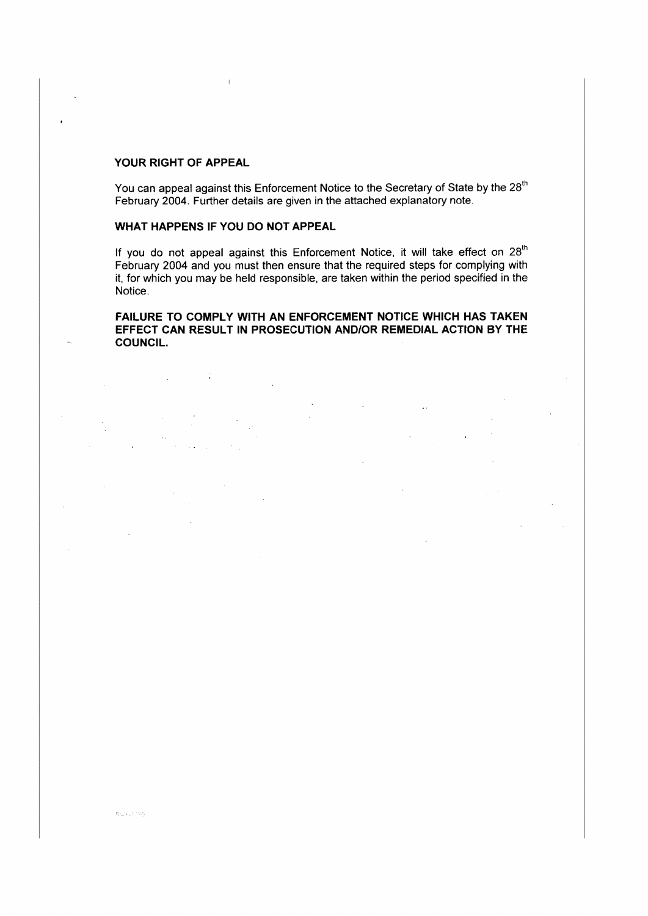#### **YOUR RIGHT OF APPEAL**

You can appeal against this Enforcement Notice to the Secretary of State by the 28<sup>th</sup> February 2004. Further details are given in the attached explanatory note.

# **WHAT HAPPENS IF YOU DO NOT APPEAL**

If you do not appeal against this Enforcement Notice, it will take effect on  $28<sup>th</sup>$ February 2004 and you must then ensure that the required steps for complying with it, for which you may be held responsible, are taken within the period specified in the Notice.

# **FAILURE TO COMPLY WITH AN ENFORCEMENT NOTICE WHICH HAS TAKEM EFFECT CAN RESULT IN PROSECUTION AND/OR REMEDIAL ACTION BY THE COUNCIL.**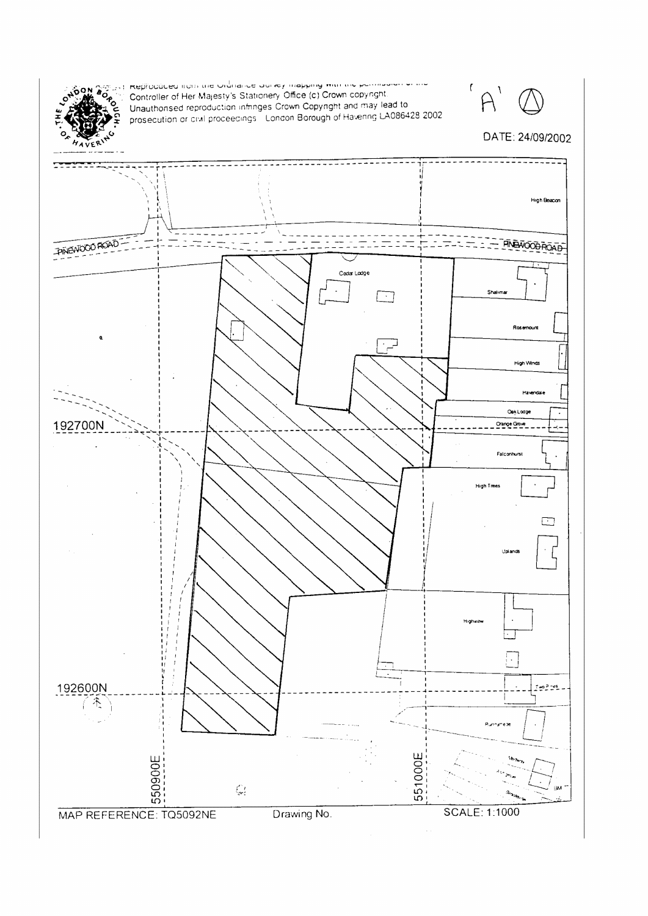

angless inteproduced irons are ordinance our rey mapping man are pormours on the<br>applied Controller of Her Majesty's Stationery Office (c) Crown copyright.<br>Applied Magnificenced reservation of the Co Unauthorised reproduction infinities Crown Copyright and may lead to<br>prosecution or civil proceedings. London Borough of Havening LA086428 2002.

 $\mathsf f$  $\mathcal{L}$ 

# DATE: 24/09/2002

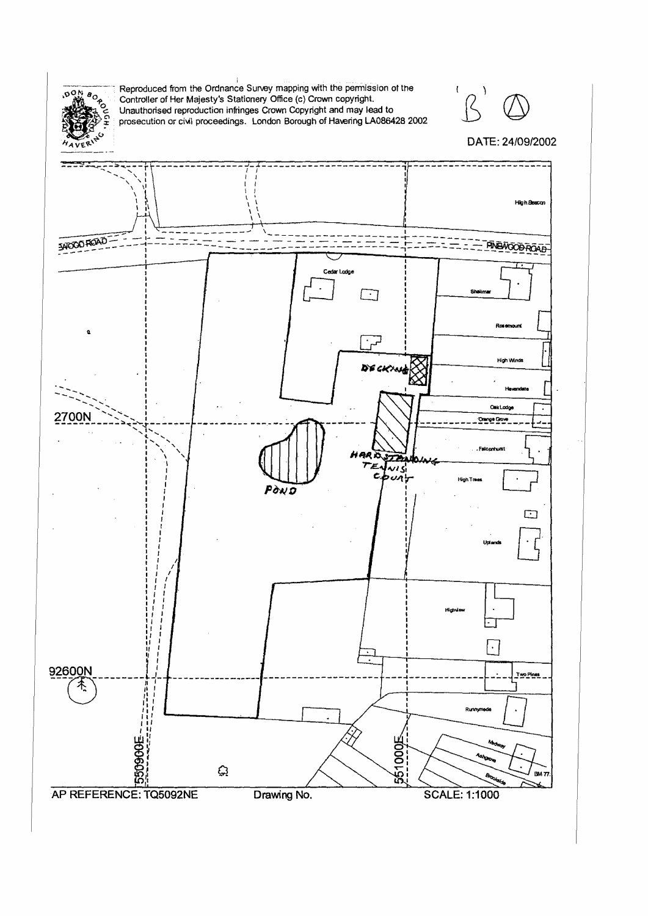

Reproduced from the Ordnance Survey mapping with the permission of the Controller of Her Majesty's Stationery Office (c) Crown copyright. Unauthorised reproduction infringes Crown Copyright and may lead to prosecution or c



# DATE: 24/09/2002

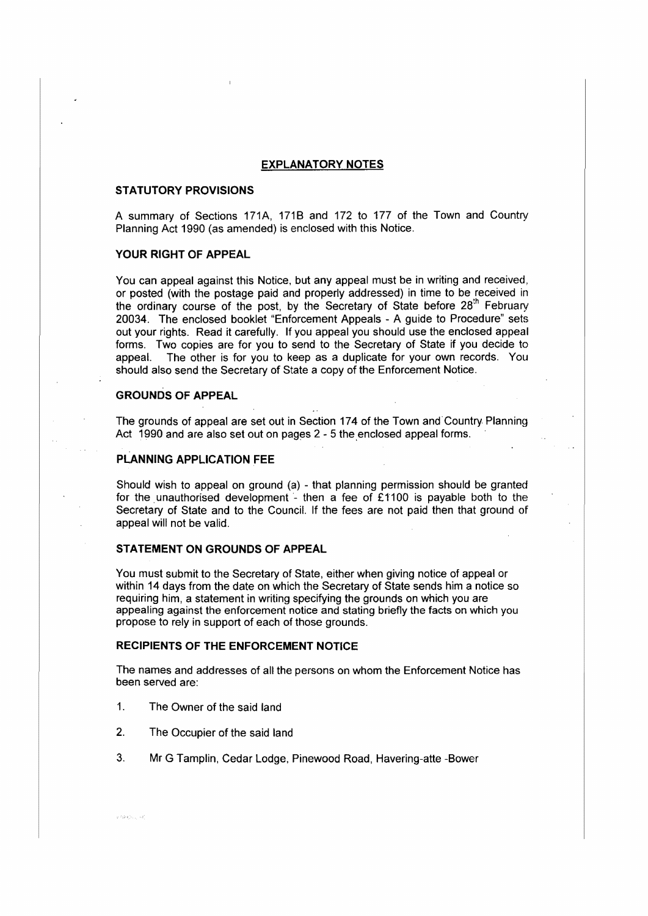#### **EXPLANATORY NOTES**

#### **STATUTORY PROVISIONS**

A summary of Sections 171A, 171B and 172 to 177 of the Town and Country Planning Act 1990 (as amended) is enclosed with this Notice.

#### **YOUR RIGHT OF APPEAL**

You can appeal against this Notice, but any appeal must be in writing and received, or posted (with the postage paid and properly addressed) in time to be received in the ordinary course of the post, by the Secretary of State before  $28<sup>th</sup>$  February 20034. The enclosed booklet "Enforcement Appeals - A guide to Procedure" sets out your rights. Read it carefully. If you appeal you should use the enclosed appeal forms. Two copies are for you to send to the Secretary of State if you decide to appeal. The other is for you to keep as a duplicate for your own records. You should also send the Secretary of State a copy of the Enforcement Notice.

#### **GROUNDS OF APPEAL**

The grounds of appeal are set out in Section 174 of the Town and.Country. Planning Act 1990 and are also set out on pages  $2 - 5$  the enclosed appeal forms.

#### **PLANNING APPLICATION FEE**

Should wish to appeal on ground (a) - that planning permission should be granted for the unauthorised development - then a fee of £1100 is payable both to the Secretary of State and to the Council. If the fees are not paid then that ground of appeal will not be valid.

#### **STATEMENT ON GROUNDS OF APPEAL**

You must submit to the Secretary of State, either when giving notice of appeal or within 14 days from the date on which the Secretary of State sends him a notice so requiring him, a statement in writing specifying the grounds on which you are appealing against the enforcement notice and stating briefly the facts on which you propose to rely in support of each of those grounds.

#### **RECIPIENTS OF THE ENFORCEMENT NOTICE**

The names and addresses of all the persons on whom the Enforcement Notice has been served are:

- 1. The Owner of the said land
- 2. The Occupier of the said land
- 3. Mr G Tamplin, Cedar Lodge, Pinewood Road, Havering-atte -Bower

e Pakitán, List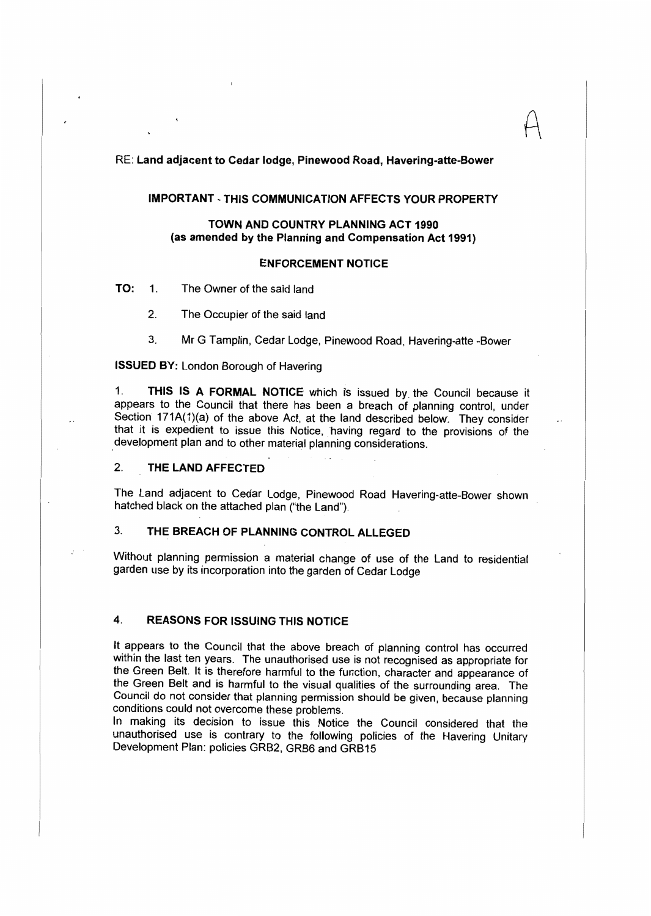#### RE: Land adjacent to Cedar lodge, Pinewood **Road,** Havering-atte-Bower

#### IMPORTANT - THIS COMMUNICATION AFFECTS YOUR PROPERTY

 $A$ 

## TOWN AND COUNTRY PLANNING ACT 1990 (as amended by the Planning and Compensation Act 1991)

#### **ENFORCEMENT NOTICE**

TO: 1. The Owner of the said land

2. The Occupier of the said land

3. Mr G Tamplin, Cedar Lodge, Pinewood Road, Havering-atte -Bower

## **ISSUED BY:** London Borough of Havering

1. **THIS IS A FORMAL NOTICE** which 1s issued by the Council because it appears to the Council that there has been a breach of planning control, under Section 171A(1)(a) of the above Act, at the land described below. They consider that it is expedient to issue this Notice, having regard to the provisions of the development plan and to other material planning considerations.

#### **2. THE LAND AFFECTED**

The Land adjacent to Cedar Lodge, Pinewood Road Havering-atte-Bower shown hatched black on the attached plan ("the Land").

# 3. **THE BREACH OF PLANNING CONTROL ALLEGED**

Without planning permission a material change of use of the Land to residential garden use by its incorporation into the garden of Cedar Lodge

# **4. REASONS FOR ISSUING THIS NOTICE**

**It** appears to the Council that the above breach of planning control has occurred within the last ten years. The unauthorised use is not recognised as appropriate for the Green Belt. It is therefore harmful to the function, character and appearance of the Green Belt and is harmful to the visual qualities of the surrounding area. The Council do not consider that planning permission should be given, because planning conditions could not overcome these problems.

In making its decision to issue this Notice the Council considered that the unauthorised use is contrary to the following policies of the Havering Unitary Development Plan: policies GRB2, GRB6 and GRB15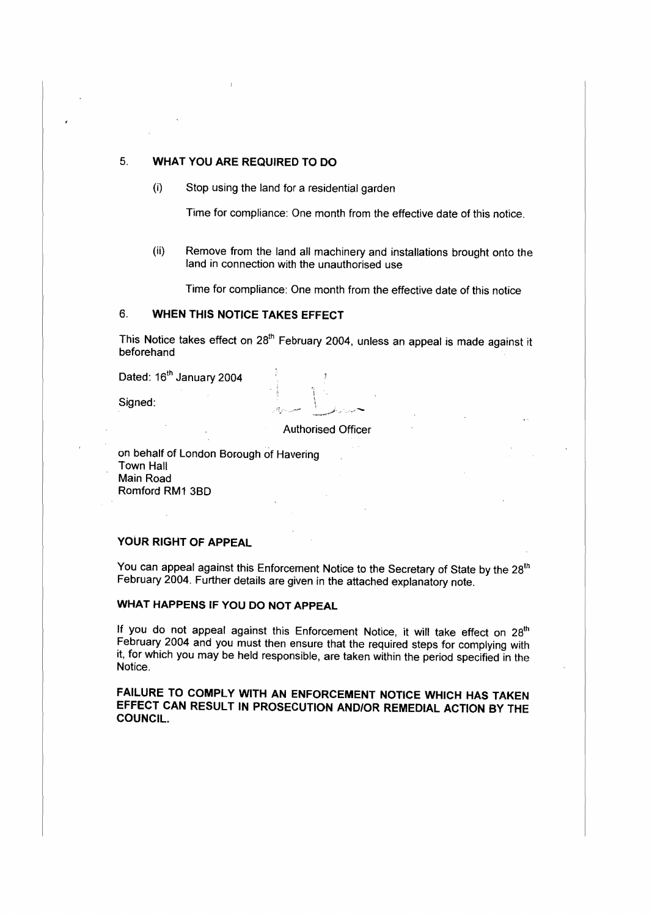#### 5. **WHAT YOU ARE REQUIRED TO DO**

(i) Stop using the land for a residential garden

Time for compliance: One month from the effective date of this notice.

(ii) Remove from the land all machinery and installations brought onto the land in connection with the unauthorised use

Time for compliance: One month from the effective date of this notice

#### 6. **WHEN THIS NOTICE TAKES EFFECT**

This Notice takes effect on 28<sup>th</sup> February 2004, unless an appeal is made against it beforehand

Dated: 16<sup>th</sup> January 2004

Signed: \

Authorised Officer

"i

,-fl/ ..- *\_J-,1'·,,* ~-........

on behalf of London Borough of Havering Town Hall Main Road Romford RM1 38D

# **YOUR RIGHT OF APPEAL**

You can appeal against this Enforcement Notice to the Secretary of State by the 28<sup>th</sup> February 2004. Further details are given in the attached explanatory note.

### **WHAT HAPPENS** IF **YOU DO NOT APPEAL**

If you do not appeal against this Enforcement Notice, it will take effect on 28<sup>th</sup> February 2004 and you must then ensure that the required steps for complying with it, for which you may be held responsible, are taken within the period specified in the Notice.

**FAILURE TO COMPLY WITH AN ENFORCEMENT NOTICE WHICH HAS TAKEN**  EFFECT CAN RESULT **IN PROSECUTION AND/OR REMEDIAL ACTION BY** THE **COUNCIL.**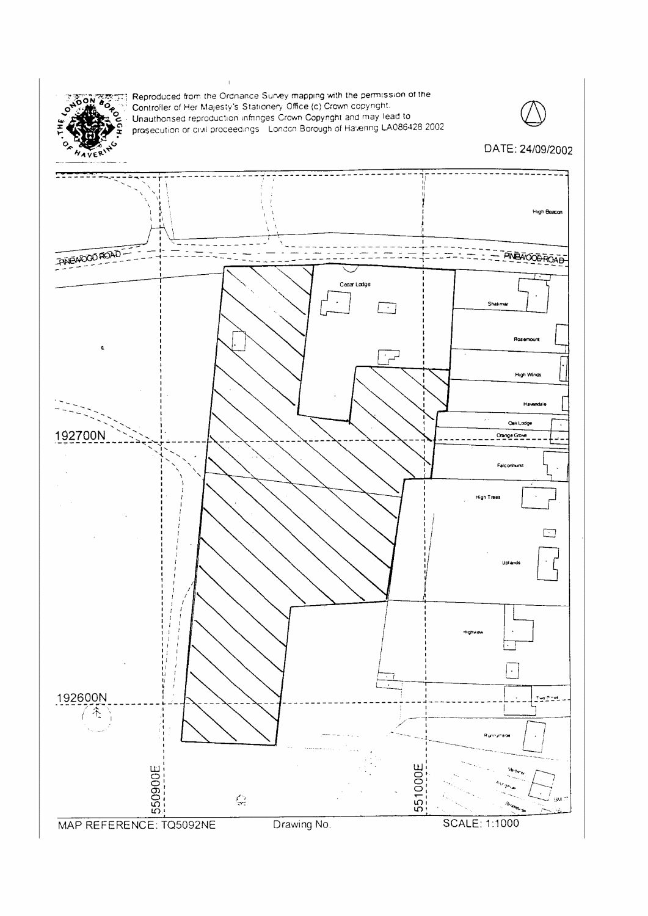

Reproduced from the Ordnance Survey mapping with the permission of the Controller of Her Majesty's Stationery Office (c) Crown copyright. Unauthorised reproduction infinities Crown Copyright and may lead to<br>prosecution or civil proceedings. London Borough of Havening LA086428 2002.



DATE: 24/09/2002

# --------------------**High Beacon** FINEWOOD ROAD **ALANDRA PROPERTY AND ACCOUNTING**  $\overline{\mathbb{C}}$  . Cedar Lodge Shalima Roser **High Winds** Havenda  $\bar{\mathcal{A}}$  . **Cek Lodge** 192700N **Curve** Gove Falconhurst High Trees □ þ  $\frac{1}{t}$ 192600N Two Pinet 齐 551000E 550900E  $\mathbb{Q}$ **SCALE: 1:1000** MAP REFERENCE: TQ5092NE Drawing No.